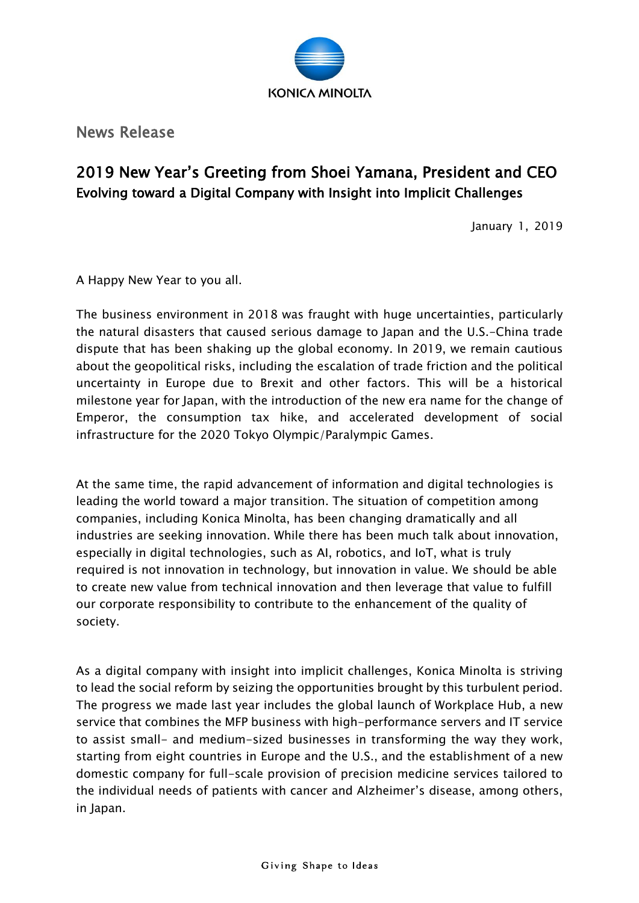

News Release

## 2019 New Year's Greeting from Shoei Yamana, President and CEO Evolving toward a Digital Company with Insight into Implicit Challenges

January 1, 2019

A Happy New Year to you all.

The business environment in 2018 was fraught with huge uncertainties, particularly the natural disasters that caused serious damage to Japan and the U.S.-China trade dispute that has been shaking up the global economy. In 2019, we remain cautious about the geopolitical risks, including the escalation of trade friction and the political uncertainty in Europe due to Brexit and other factors. This will be a historical milestone year for Japan, with the introduction of the new era name for the change of Emperor, the consumption tax hike, and accelerated development of social infrastructure for the 2020 Tokyo Olympic/Paralympic Games.

At the same time, the rapid advancement of information and digital technologies is leading the world toward a major transition. The situation of competition among companies, including Konica Minolta, has been changing dramatically and all industries are seeking innovation. While there has been much talk about innovation, especially in digital technologies, such as AI, robotics, and IoT, what is truly required is not innovation in technology, but innovation in value. We should be able to create new value from technical innovation and then leverage that value to fulfill our corporate responsibility to contribute to the enhancement of the quality of society.

As a digital company with insight into implicit challenges, Konica Minolta is striving to lead the social reform by seizing the opportunities brought by this turbulent period. The progress we made last year includes the global launch of Workplace Hub, a new service that combines the MFP business with high-performance servers and IT service to assist small- and medium-sized businesses in transforming the way they work, starting from eight countries in Europe and the U.S., and the establishment of a new domestic company for full-scale provision of precision medicine services tailored to the individual needs of patients with cancer and Alzheimer's disease, among others, in Japan.